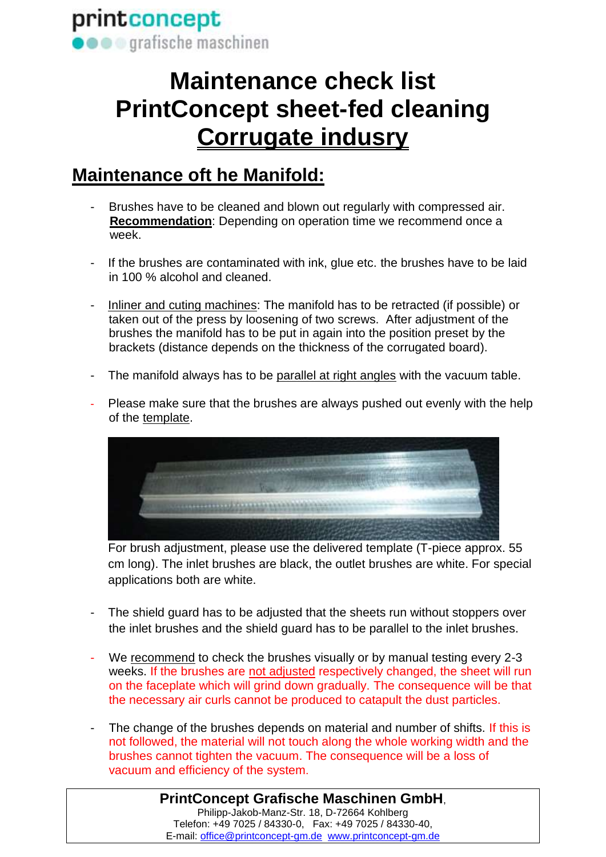# **Maintenance check list PrintConcept sheet-fed cleaning Corrugate indusry**

### **Maintenance oft he Manifold:**

- Brushes have to be cleaned and blown out regularly with compressed air.  **Recommendation**: Depending on operation time we recommend once a week.
- If the brushes are contaminated with ink, glue etc. the brushes have to be laid in 100 % alcohol and cleaned.
- Inliner and cuting machines: The manifold has to be retracted (if possible) or taken out of the press by loosening of two screws. After adjustment of the brushes the manifold has to be put in again into the position preset by the brackets (distance depends on the thickness of the corrugated board).
- The manifold always has to be parallel at right angles with the vacuum table.
- Please make sure that the brushes are always pushed out evenly with the help of the template.



For brush adjustment, please use the delivered template (T-piece approx. 55 cm long). The inlet brushes are black, the outlet brushes are white. For special applications both are white.

- The shield guard has to be adjusted that the sheets run without stoppers over the inlet brushes and the shield guard has to be parallel to the inlet brushes.
- We recommend to check the brushes visually or by manual testing every 2-3 weeks. If the brushes are not adjusted respectively changed, the sheet will run on the faceplate which will grind down gradually. The consequence will be that the necessary air curls cannot be produced to catapult the dust particles.
- The change of the brushes depends on material and number of shifts. If this is not followed, the material will not touch along the whole working width and the brushes cannot tighten the vacuum. The consequence will be a loss of vacuum and efficiency of the system.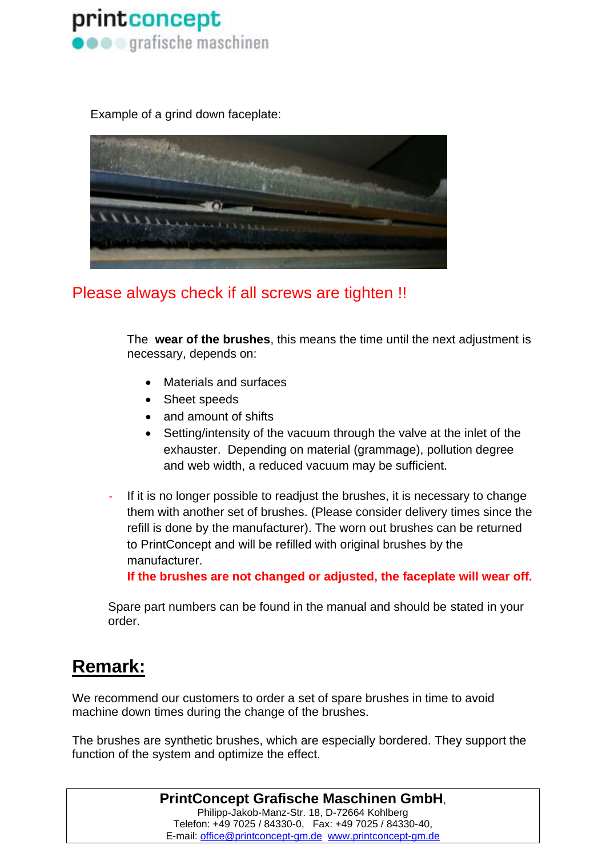

Example of a grind down faceplate:



#### Please always check if all screws are tighten !!

The **wear of the brushes**, this means the time until the next adjustment is necessary, depends on:

- Materials and surfaces
- Sheet speeds
- and amount of shifts
- Setting/intensity of the vacuum through the valve at the inlet of the exhauster. Depending on material (grammage), pollution degree and web width, a reduced vacuum may be sufficient.
- If it is no longer possible to readjust the brushes, it is necessary to change them with another set of brushes. (Please consider delivery times since the refill is done by the manufacturer). The worn out brushes can be returned to PrintConcept and will be refilled with original brushes by the manufacturer.

**If the brushes are not changed or adjusted, the faceplate will wear off.** 

Spare part numbers can be found in the manual and should be stated in your order.

#### **Remark:**

We recommend our customers to order a set of spare brushes in time to avoid machine down times during the change of the brushes.

The brushes are synthetic brushes, which are especially bordered. They support the function of the system and optimize the effect.